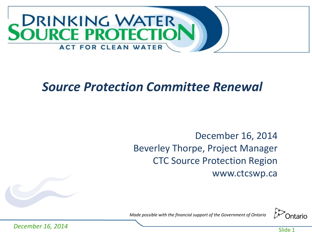

## *Source Protection Committee Renewal*

### December 16, 2014 Beverley Thorpe, Project Manager CTC Source Protection Region www.ctcswp.ca



*Made possible with the financial support of the Government of Ontario*

*December 16, 2014*

Slide 1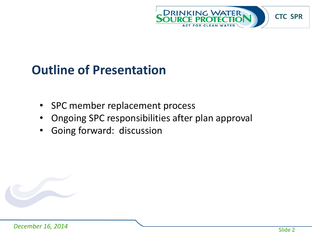

# **Outline of Presentation**

- SPC member replacement process
- Ongoing SPC responsibilities after plan approval
- Going forward: discussion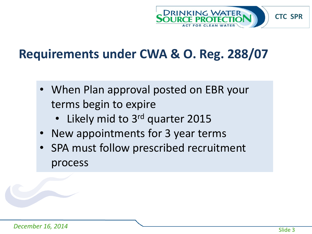

## **Requirements under CWA & O. Reg. 288/07**

- When Plan approval posted on EBR your terms begin to expire
	- Likely mid to 3<sup>rd</sup> quarter 2015
- New appointments for 3 year terms
- SPA must follow prescribed recruitment process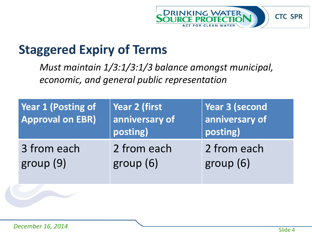

## **Staggered Expiry of Terms**

*Must maintain 1/3:1/3:1/3 balance amongst municipal, economic, and general public representation*

| <b>Year 1 (Posting of</b><br><b>Approval on EBR)</b> | Year 2 (first<br>anniversary of<br>posting) | Year 3 (second<br>$\vert$ anniversary of<br>posting) |
|------------------------------------------------------|---------------------------------------------|------------------------------------------------------|
| 3 from each                                          | 2 from each                                 | 2 from each                                          |
| group(9)                                             | group(6)                                    | group (6)                                            |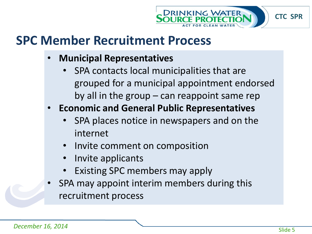

## **SPC Member Recruitment Process**

- **Municipal Representatives**
	- SPA contacts local municipalities that are grouped for a municipal appointment endorsed by all in the group – can reappoint same rep
- **Economic and General Public Representatives**
	- SPA places notice in newspapers and on the internet
	- Invite comment on composition
	- Invite applicants
	- Existing SPC members may apply
- SPA may appoint interim members during this recruitment process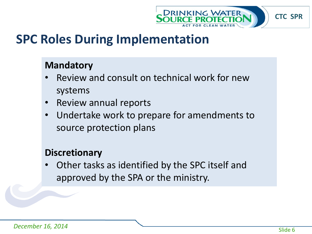

## **SPC Roles During Implementation**

#### **Mandatory**

- Review and consult on technical work for new systems
- Review annual reports
- Undertake work to prepare for amendments to source protection plans

#### **Discretionary**

• Other tasks as identified by the SPC itself and approved by the SPA or the ministry.